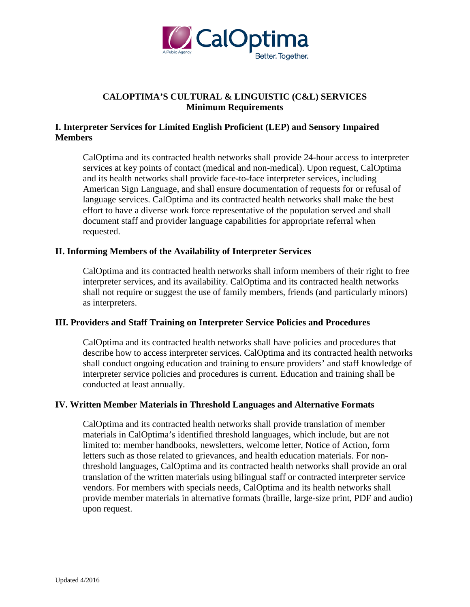

# **CALOPTIMA'S CULTURAL & LINGUISTIC (C&L) SERVICES Minimum Requirements**

# **I. Interpreter Services for Limited English Proficient (LEP) and Sensory Impaired Members**

CalOptima and its contracted health networks shall provide 24-hour access to interpreter services at key points of contact (medical and non-medical). Upon request, CalOptima and its health networks shall provide face-to-face interpreter services, including American Sign Language, and shall ensure documentation of requests for or refusal of language services. CalOptima and its contracted health networks shall make the best effort to have a diverse work force representative of the population served and shall document staff and provider language capabilities for appropriate referral when requested.

### **II. Informing Members of the Availability of Interpreter Services**

CalOptima and its contracted health networks shall inform members of their right to free interpreter services, and its availability. CalOptima and its contracted health networks shall not require or suggest the use of family members, friends (and particularly minors) as interpreters.

#### **III. Providers and Staff Training on Interpreter Service Policies and Procedures**

CalOptima and its contracted health networks shall have policies and procedures that describe how to access interpreter services. CalOptima and its contracted health networks shall conduct ongoing education and training to ensure providers' and staff knowledge of interpreter service policies and procedures is current. Education and training shall be conducted at least annually.

#### **IV. Written Member Materials in Threshold Languages and Alternative Formats**

CalOptima and its contracted health networks shall provide translation of member materials in CalOptima's identified threshold languages, which include, but are not limited to: member handbooks, newsletters, welcome letter, Notice of Action, form letters such as those related to grievances, and health education materials. For nonthreshold languages, CalOptima and its contracted health networks shall provide an oral translation of the written materials using bilingual staff or contracted interpreter service vendors. For members with specials needs, CalOptima and its health networks shall provide member materials in alternative formats (braille, large-size print, PDF and audio) upon request.